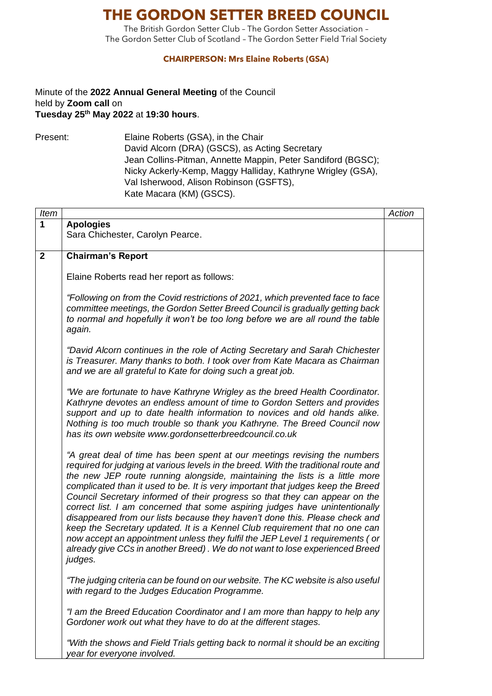## **THE GORDON SETTER BREED COUNCIL**

The British Gordon Setter Club – The Gordon Setter Association – The Gordon Setter Club of Scotland – The Gordon Setter Field Trial Society

## **CHAIRPERSON: Mrs Elaine Roberts (GSA)**

## Minute of the **2022 Annual General Meeting** of the Council held by **Zoom call** on **Tuesday 25th May 2022** at **19:30 hours**.

Present: Elaine Roberts (GSA), in the Chair David Alcorn (DRA) (GSCS), as Acting Secretary Jean Collins-Pitman, Annette Mappin, Peter Sandiford (BGSC); Nicky Ackerly-Kemp, Maggy Halliday, Kathryne Wrigley (GSA), Val Isherwood, Alison Robinson (GSFTS), Kate Macara (KM) (GSCS).

| Item           |                                                                                     | Action |
|----------------|-------------------------------------------------------------------------------------|--------|
| 1              | <b>Apologies</b>                                                                    |        |
|                | Sara Chichester, Carolyn Pearce.                                                    |        |
|                |                                                                                     |        |
| $\overline{2}$ | <b>Chairman's Report</b>                                                            |        |
|                |                                                                                     |        |
|                | Elaine Roberts read her report as follows:                                          |        |
|                |                                                                                     |        |
|                | "Following on from the Covid restrictions of 2021, which prevented face to face     |        |
|                | committee meetings, the Gordon Setter Breed Council is gradually getting back       |        |
|                | to normal and hopefully it won't be too long before we are all round the table      |        |
|                | again.                                                                              |        |
|                |                                                                                     |        |
|                | "David Alcorn continues in the role of Acting Secretary and Sarah Chichester        |        |
|                | is Treasurer. Many thanks to both. I took over from Kate Macara as Chairman         |        |
|                | and we are all grateful to Kate for doing such a great job.                         |        |
|                |                                                                                     |        |
|                | "We are fortunate to have Kathryne Wrigley as the breed Health Coordinator.         |        |
|                | Kathryne devotes an endless amount of time to Gordon Setters and provides           |        |
|                | support and up to date health information to novices and old hands alike.           |        |
|                | Nothing is too much trouble so thank you Kathryne. The Breed Council now            |        |
|                | has its own website www.gordonsetterbreedcouncil.co.uk                              |        |
|                | "A great deal of time has been spent at our meetings revising the numbers           |        |
|                | required for judging at various levels in the breed. With the traditional route and |        |
|                | the new JEP route running alongside, maintaining the lists is a little more         |        |
|                | complicated than it used to be. It is very important that judges keep the Breed     |        |
|                | Council Secretary informed of their progress so that they can appear on the         |        |
|                | correct list. I am concerned that some aspiring judges have unintentionally         |        |
|                | disappeared from our lists because they haven't done this. Please check and         |        |
|                | keep the Secretary updated. It is a Kennel Club requirement that no one can         |        |
|                | now accept an appointment unless they fulfil the JEP Level 1 requirements (or       |        |
|                | already give CCs in another Breed). We do not want to lose experienced Breed        |        |
|                | judges.                                                                             |        |
|                |                                                                                     |        |
|                | "The judging criteria can be found on our website. The KC website is also useful    |        |
|                | with regard to the Judges Education Programme.                                      |        |
|                |                                                                                     |        |
|                | "I am the Breed Education Coordinator and I am more than happy to help any          |        |
|                | Gordoner work out what they have to do at the different stages.                     |        |
|                |                                                                                     |        |
|                | "With the shows and Field Trials getting back to normal it should be an exciting    |        |
|                | year for everyone involved.                                                         |        |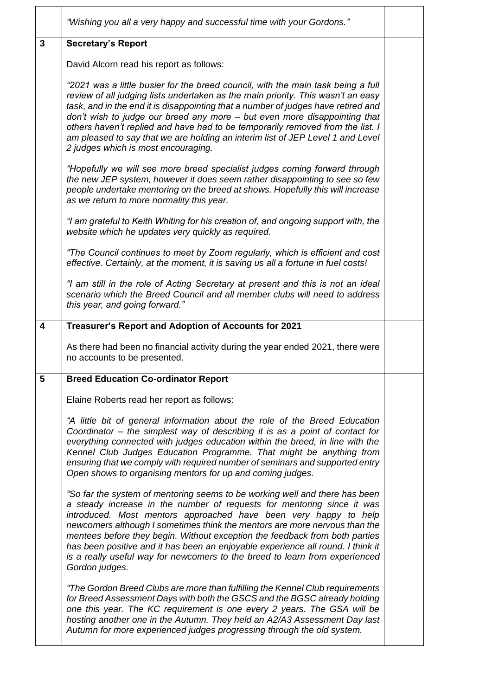|   | "Wishing you all a very happy and successful time with your Gordons."                                                                                                                                                                                                                                                                                                                                                                                                                                                                                                      |  |
|---|----------------------------------------------------------------------------------------------------------------------------------------------------------------------------------------------------------------------------------------------------------------------------------------------------------------------------------------------------------------------------------------------------------------------------------------------------------------------------------------------------------------------------------------------------------------------------|--|
| 3 | <b>Secretary's Report</b>                                                                                                                                                                                                                                                                                                                                                                                                                                                                                                                                                  |  |
|   | David Alcorn read his report as follows:                                                                                                                                                                                                                                                                                                                                                                                                                                                                                                                                   |  |
|   | "2021 was a little busier for the breed council, with the main task being a full<br>review of all judging lists undertaken as the main priority. This wasn't an easy<br>task, and in the end it is disappointing that a number of judges have retired and<br>don't wish to judge our breed any more - but even more disappointing that<br>others haven't replied and have had to be temporarily removed from the list. I<br>am pleased to say that we are holding an interim list of JEP Level 1 and Level<br>2 judges which is most encouraging.                          |  |
|   | "Hopefully we will see more breed specialist judges coming forward through<br>the new JEP system, however it does seem rather disappointing to see so few<br>people undertake mentoring on the breed at shows. Hopefully this will increase<br>as we return to more normality this year.                                                                                                                                                                                                                                                                                   |  |
|   | "I am grateful to Keith Whiting for his creation of, and ongoing support with, the<br>website which he updates very quickly as required.                                                                                                                                                                                                                                                                                                                                                                                                                                   |  |
|   | "The Council continues to meet by Zoom regularly, which is efficient and cost<br>effective. Certainly, at the moment, it is saving us all a fortune in fuel costs!                                                                                                                                                                                                                                                                                                                                                                                                         |  |
|   | "I am still in the role of Acting Secretary at present and this is not an ideal<br>scenario which the Breed Council and all member clubs will need to address<br>this year, and going forward."                                                                                                                                                                                                                                                                                                                                                                            |  |
| 4 | Treasurer's Report and Adoption of Accounts for 2021                                                                                                                                                                                                                                                                                                                                                                                                                                                                                                                       |  |
|   | As there had been no financial activity during the year ended 2021, there were<br>no accounts to be presented.                                                                                                                                                                                                                                                                                                                                                                                                                                                             |  |
| 5 | <b>Breed Education Co-ordinator Report</b>                                                                                                                                                                                                                                                                                                                                                                                                                                                                                                                                 |  |
|   | Elaine Roberts read her report as follows:                                                                                                                                                                                                                                                                                                                                                                                                                                                                                                                                 |  |
|   | "A little bit of general information about the role of the Breed Education<br>Coordinator - the simplest way of describing it is as a point of contact for<br>everything connected with judges education within the breed, in line with the<br>Kennel Club Judges Education Programme. That might be anything from<br>ensuring that we comply with required number of seminars and supported entry<br>Open shows to organising mentors for up and coming judges.                                                                                                           |  |
|   | "So far the system of mentoring seems to be working well and there has been<br>a steady increase in the number of requests for mentoring since it was<br>introduced. Most mentors approached have been very happy to help<br>newcomers although I sometimes think the mentors are more nervous than the<br>mentees before they begin. Without exception the feedback from both parties<br>has been positive and it has been an enjoyable experience all round. I think it<br>is a really useful way for newcomers to the breed to learn from experienced<br>Gordon judges. |  |
|   | "The Gordon Breed Clubs are more than fulfilling the Kennel Club requirements<br>for Breed Assessment Days with both the GSCS and the BGSC already holding<br>one this year. The KC requirement is one every 2 years. The GSA will be<br>hosting another one in the Autumn. They held an A2/A3 Assessment Day last<br>Autumn for more experienced judges progressing through the old system.                                                                                                                                                                               |  |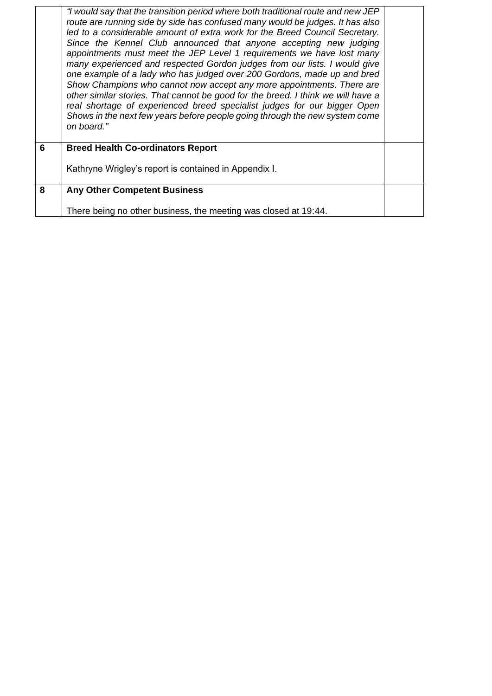|   | "I would say that the transition period where both traditional route and new JEP<br>route are running side by side has confused many would be judges. It has also<br>led to a considerable amount of extra work for the Breed Council Secretary.<br>Since the Kennel Club announced that anyone accepting new judging<br>appointments must meet the JEP Level 1 requirements we have lost many<br>many experienced and respected Gordon judges from our lists. I would give<br>one example of a lady who has judged over 200 Gordons, made up and bred<br>Show Champions who cannot now accept any more appointments. There are<br>other similar stories. That cannot be good for the breed. I think we will have a<br>real shortage of experienced breed specialist judges for our bigger Open<br>Shows in the next few years before people going through the new system come<br>on board." |  |
|---|----------------------------------------------------------------------------------------------------------------------------------------------------------------------------------------------------------------------------------------------------------------------------------------------------------------------------------------------------------------------------------------------------------------------------------------------------------------------------------------------------------------------------------------------------------------------------------------------------------------------------------------------------------------------------------------------------------------------------------------------------------------------------------------------------------------------------------------------------------------------------------------------|--|
| 6 | <b>Breed Health Co-ordinators Report</b>                                                                                                                                                                                                                                                                                                                                                                                                                                                                                                                                                                                                                                                                                                                                                                                                                                                     |  |
|   | Kathryne Wrigley's report is contained in Appendix I.                                                                                                                                                                                                                                                                                                                                                                                                                                                                                                                                                                                                                                                                                                                                                                                                                                        |  |
| 8 | <b>Any Other Competent Business</b>                                                                                                                                                                                                                                                                                                                                                                                                                                                                                                                                                                                                                                                                                                                                                                                                                                                          |  |
|   | There being no other business, the meeting was closed at 19:44.                                                                                                                                                                                                                                                                                                                                                                                                                                                                                                                                                                                                                                                                                                                                                                                                                              |  |